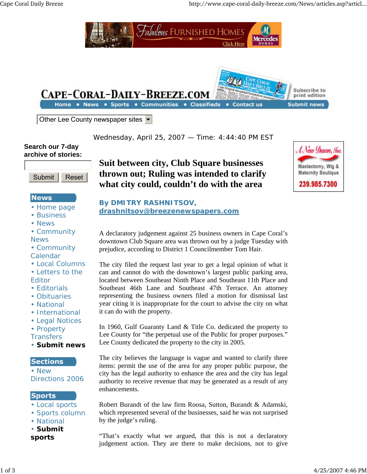

Wednesday, April 25, 2007 — Time: 4:44:40 PM EST

#### **Search our 7-day archive of stories:**



## **News**

- Home page
- Business
- News
- Community **News**
- Community Calendar
- Local Columns
- Letters to the
- Editor
- Editorials
- Obituaries
- National
- International
- Legal Notices
- Property

**Transfers** 

• **Submit news**

### **Sections**

• New Directions 2006

### **Sports**

- Local sports
- Sports column
- National
- **Submit**
- **sports**

**Suit between city, Club Square businesses thrown out; Ruling was intended to clarify what city could, couldn't do with the area**

**drashnitsov@breezenewspapers.com**

**By DMITRY RASHNITSOV,** 



A declaratory judgement against 25 business owners in Cape Coral's downtown Club Square area was thrown out by a judge Tuesday with prejudice, according to District 1 Councilmember Tom Hair.

The city filed the request last year to get a legal opinion of what it can and cannot do with the downtown's largest public parking area, located between Southeast Ninth Place and Southeast 11th Place and Southeast 46th Lane and Southeast 47th Terrace. An attorney representing the business owners filed a motion for dismissal last year citing it is inappropriate for the court to advise the city on what it can do with the property.

In 1960, Gulf Guaranty Land & Title Co. dedicated the property to Lee County for "the perpetual use of the Public for proper purposes." Lee County dedicated the property to the city in 2005.

The city believes the language is vague and wanted to clarify three items: permit the use of the area for any proper public purpose, the city has the legal authority to enhance the area and the city has legal authority to receive revenue that may be generated as a result of any enhancements.

Robert Burandt of the law firm Roosa, Sutton, Burandt & Adamski, which represented several of the businesses, said he was not surprised by the judge's ruling.

"That's exactly what we argued, that this is not a declaratory judgement action. They are there to make decisions, not to give